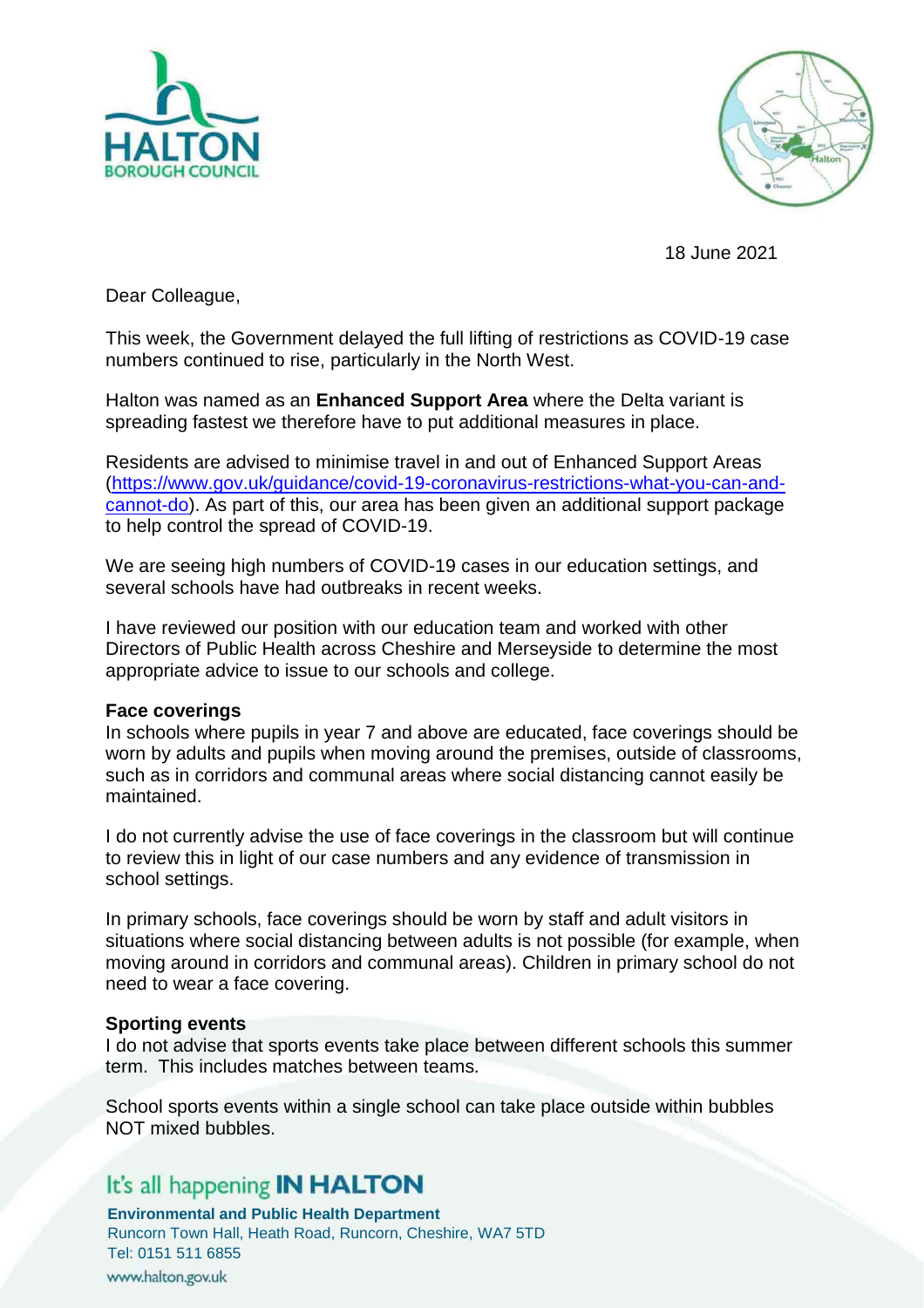



18 June 2021

Dear Colleague,

This week, the Government delayed the full lifting of restrictions as COVID-19 case numbers continued to rise, particularly in the North West.

Halton was named as an **Enhanced Support Area** where the Delta variant is spreading fastest we therefore have to put additional measures in place.

Residents are advised to minimise travel in and out of Enhanced Support Areas [\(https://www.gov.uk/guidance/covid-19-coronavirus-restrictions-what-you-can-and](https://www.gov.uk/guidance/covid-19-coronavirus-restrictions-what-you-can-and-cannot-do)[cannot-do\)](https://www.gov.uk/guidance/covid-19-coronavirus-restrictions-what-you-can-and-cannot-do). As part of this, our area has been given an additional support package to help control the spread of COVID-19.

We are seeing high numbers of COVID-19 cases in our education settings, and several schools have had outbreaks in recent weeks.

I have reviewed our position with our education team and worked with other Directors of Public Health across Cheshire and Merseyside to determine the most appropriate advice to issue to our schools and college.

#### **Face coverings**

In schools where pupils in year 7 and above are educated, face coverings should be worn by adults and pupils when moving around the premises, outside of classrooms, such as in corridors and communal areas where social distancing cannot easily be maintained.

I do not currently advise the use of face coverings in the classroom but will continue to review this in light of our case numbers and any evidence of transmission in school settings.

In primary schools, face coverings should be worn by staff and adult visitors in situations where social distancing between adults is not possible (for example, when moving around in corridors and communal areas). Children in primary school do not need to wear a face covering.

#### **Sporting events**

I do not advise that sports events take place between different schools this summer term. This includes matches between teams.

School sports events within a single school can take place outside within bubbles NOT mixed bubbles.

## It's all happening **IN HALTON**

**Environmental and Public Health Department**

Runcorn Town Hall, Heath Road, Runcorn, Cheshire, WA7 5TD Tel: 0151 511 6855 www.halton.gov.uk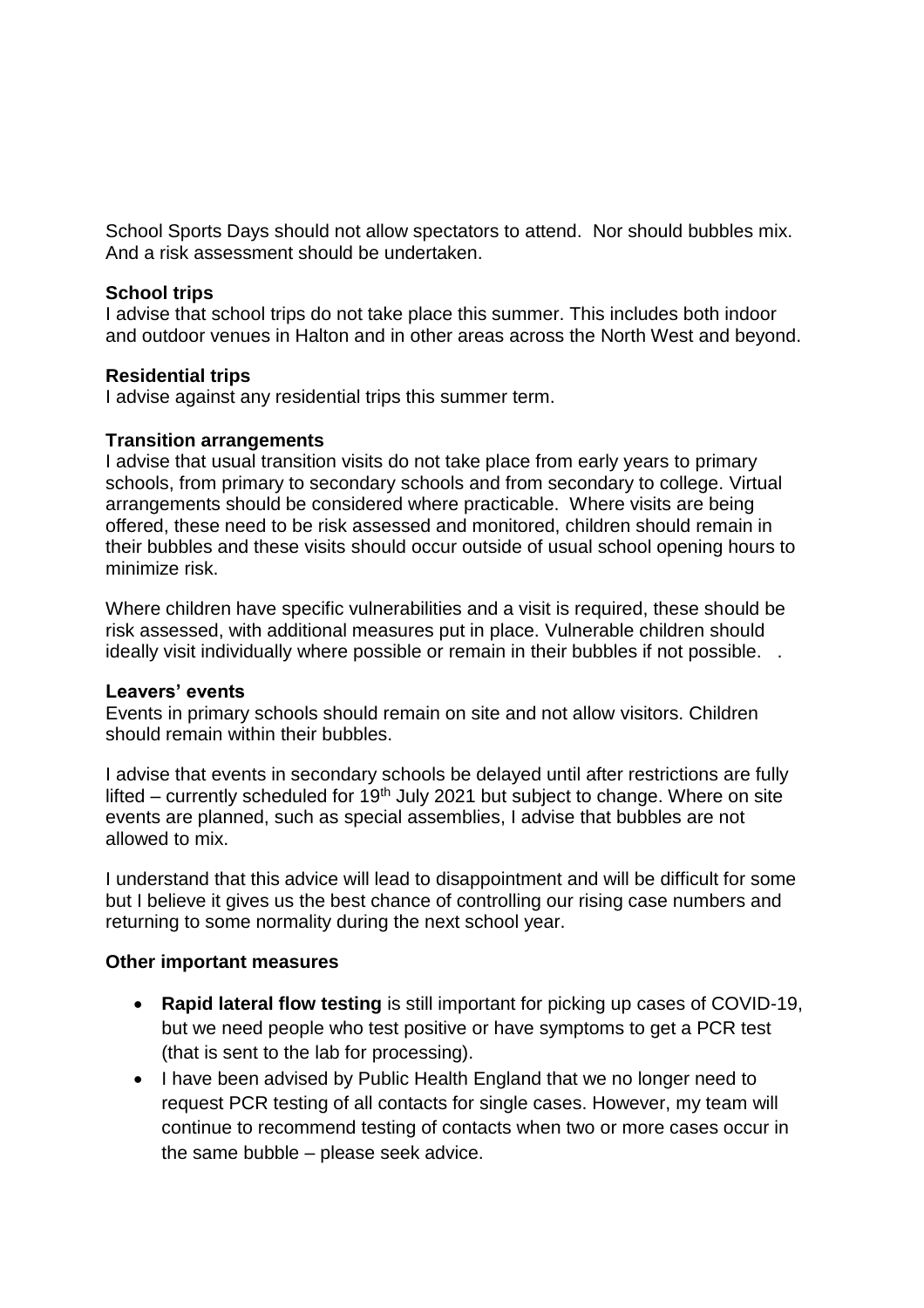School Sports Days should not allow spectators to attend. Nor should bubbles mix. And a risk assessment should be undertaken.

## **School trips**

I advise that school trips do not take place this summer. This includes both indoor and outdoor venues in Halton and in other areas across the North West and beyond.

### **Residential trips**

I advise against any residential trips this summer term.

### **Transition arrangements**

I advise that usual transition visits do not take place from early years to primary schools, from primary to secondary schools and from secondary to college. Virtual arrangements should be considered where practicable. Where visits are being offered, these need to be risk assessed and monitored, children should remain in their bubbles and these visits should occur outside of usual school opening hours to minimize risk.

Where children have specific vulnerabilities and a visit is required, these should be risk assessed, with additional measures put in place. Vulnerable children should ideally visit individually where possible or remain in their bubbles if not possible. .

### **Leavers' events**

Events in primary schools should remain on site and not allow visitors. Children should remain within their bubbles.

I advise that events in secondary schools be delayed until after restrictions are fully lifted – currently scheduled for 19<sup>th</sup> July 2021 but subject to change. Where on site events are planned, such as special assemblies, I advise that bubbles are not allowed to mix.

I understand that this advice will lead to disappointment and will be difficult for some but I believe it gives us the best chance of controlling our rising case numbers and returning to some normality during the next school year.

### **Other important measures**

- **Rapid lateral flow testing** is still important for picking up cases of COVID-19, but we need people who test positive or have symptoms to get a PCR test (that is sent to the lab for processing).
- I have been advised by Public Health England that we no longer need to request PCR testing of all contacts for single cases. However, my team will continue to recommend testing of contacts when two or more cases occur in the same bubble – please seek advice.